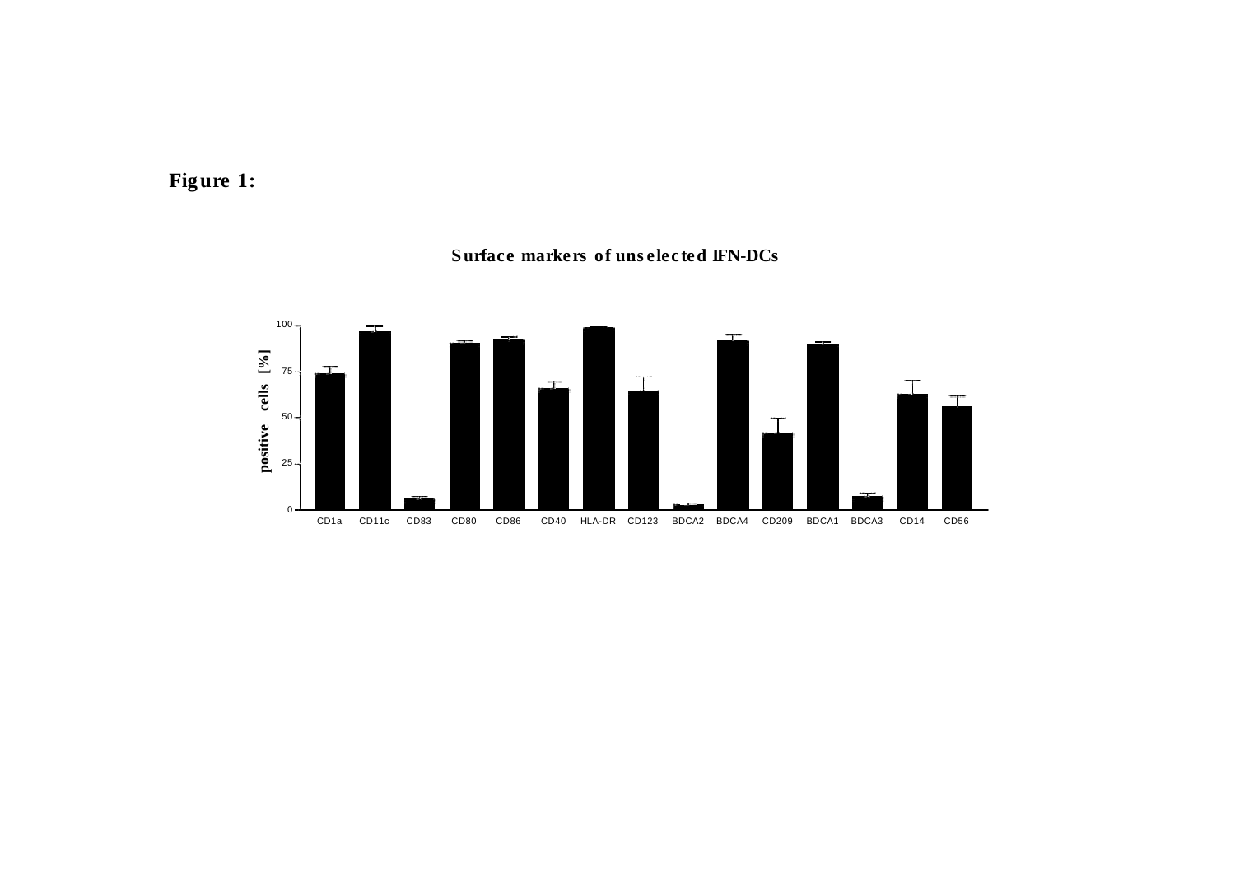



#### Surface markers of unselected IFN-DCs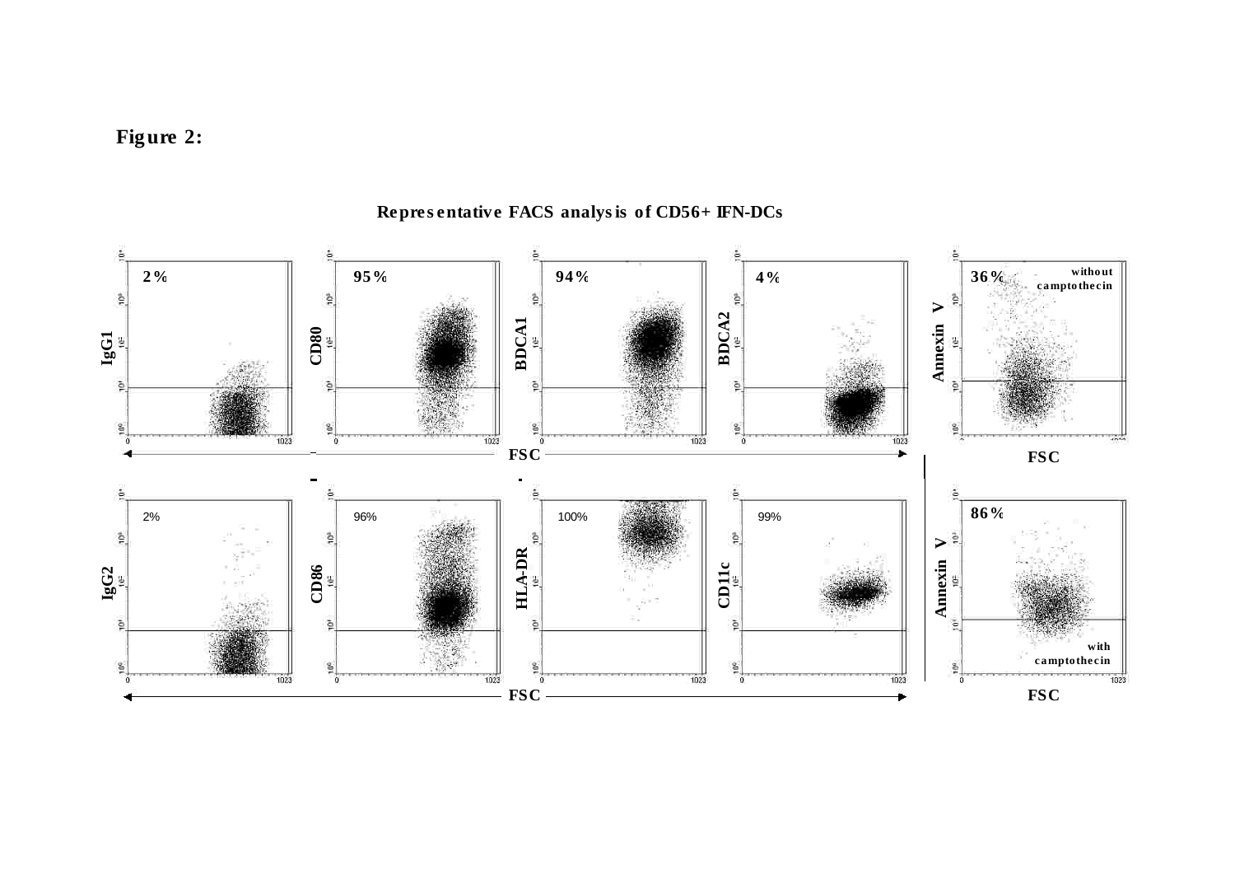



### Representative FACS analysis of CD56+ IFN-DCs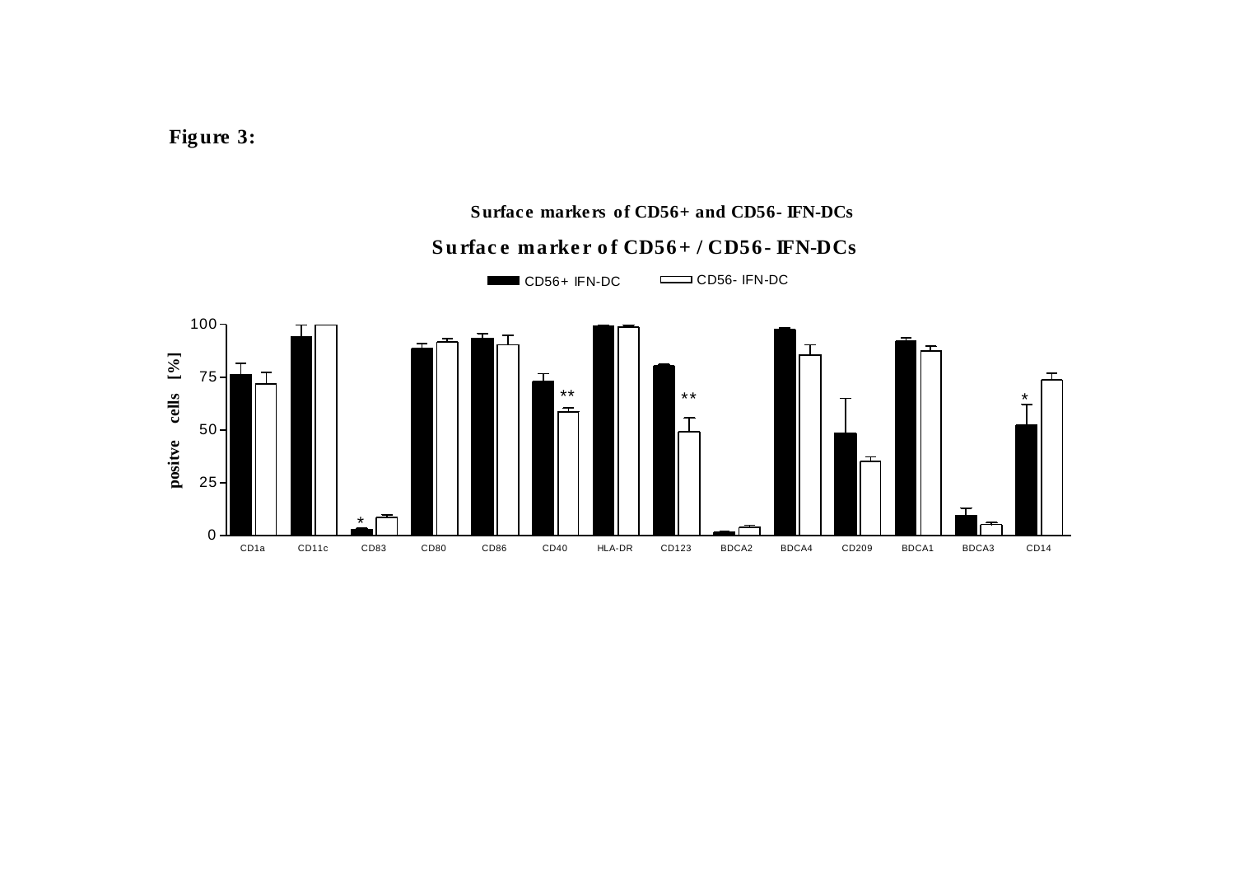**Figure 3:**

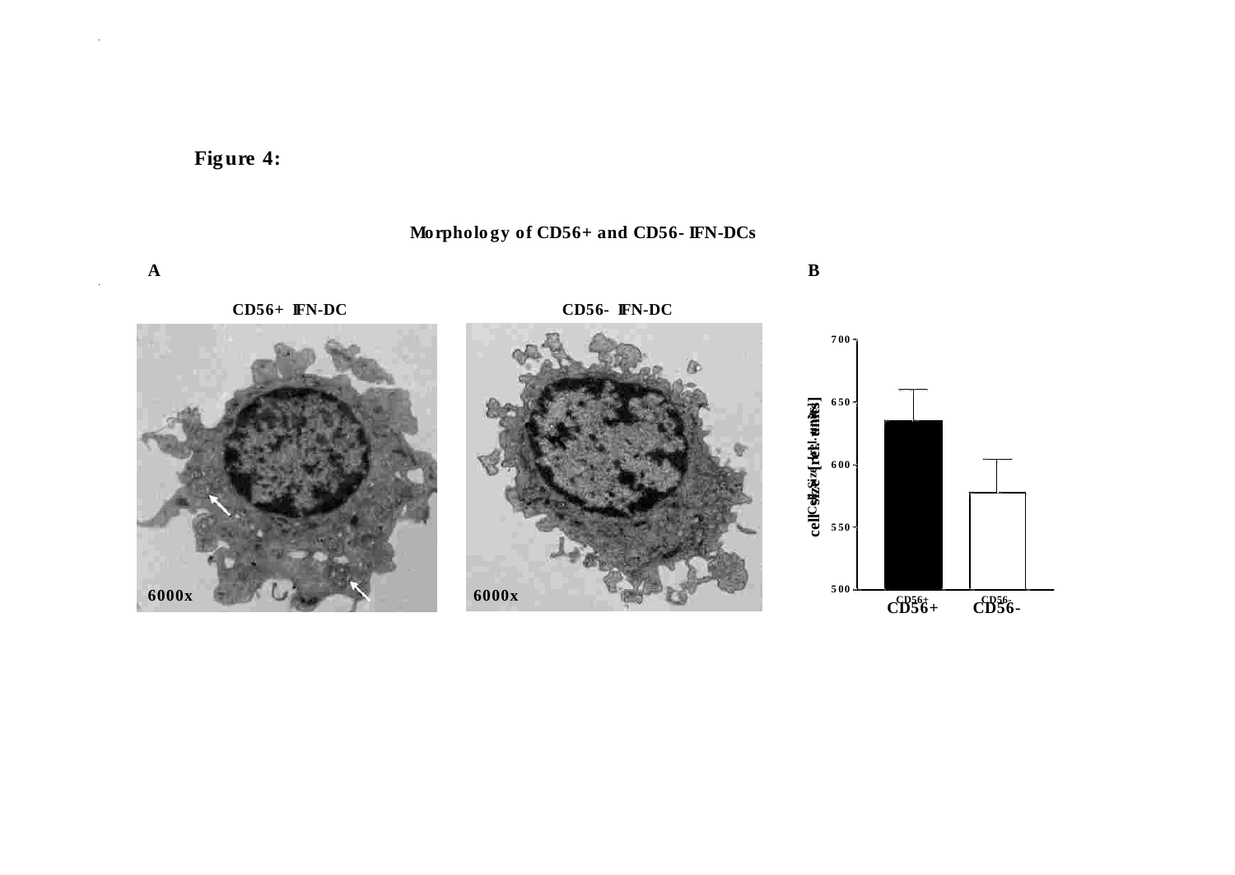

 $\mathcal{A}^{\mathcal{A}}$ 

 $\mathcal{L}_{\mathcal{A}}$ 



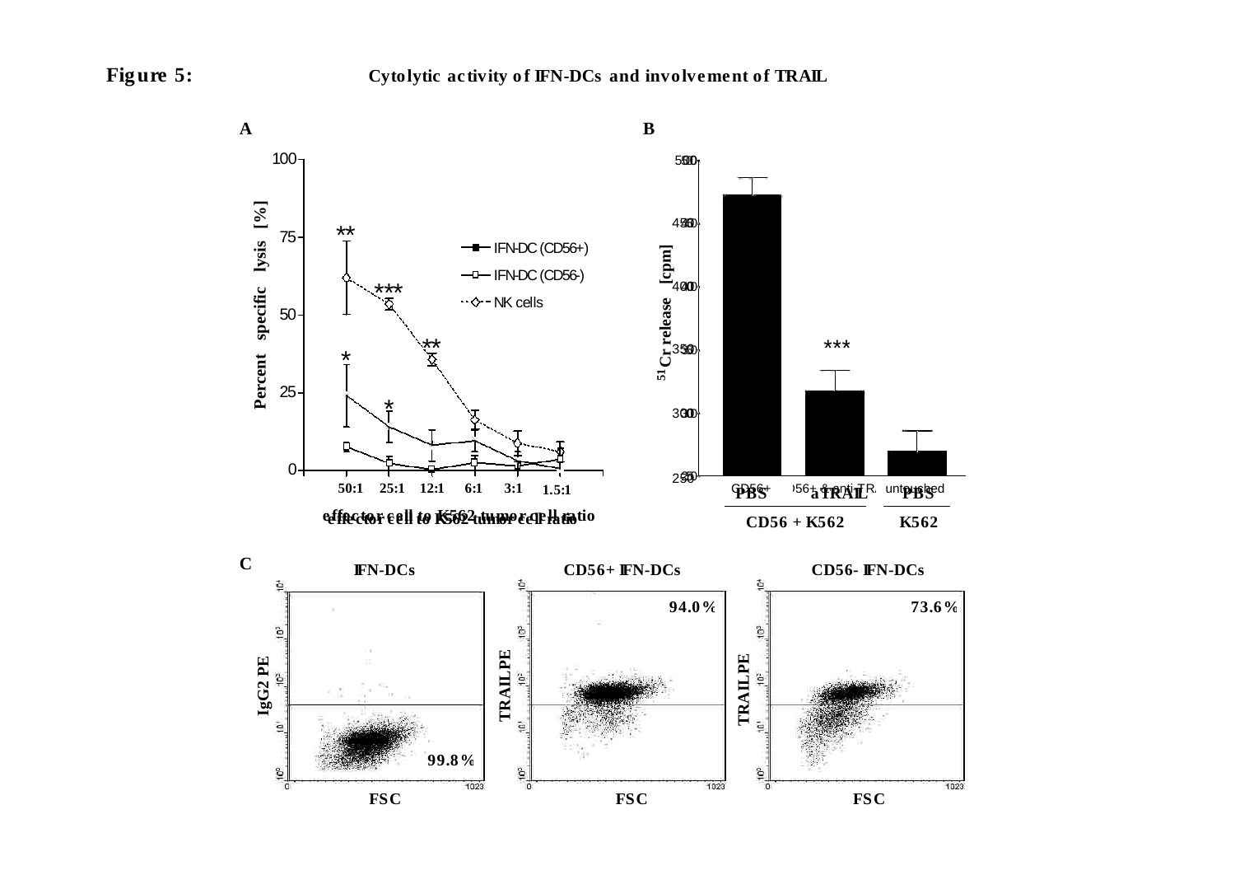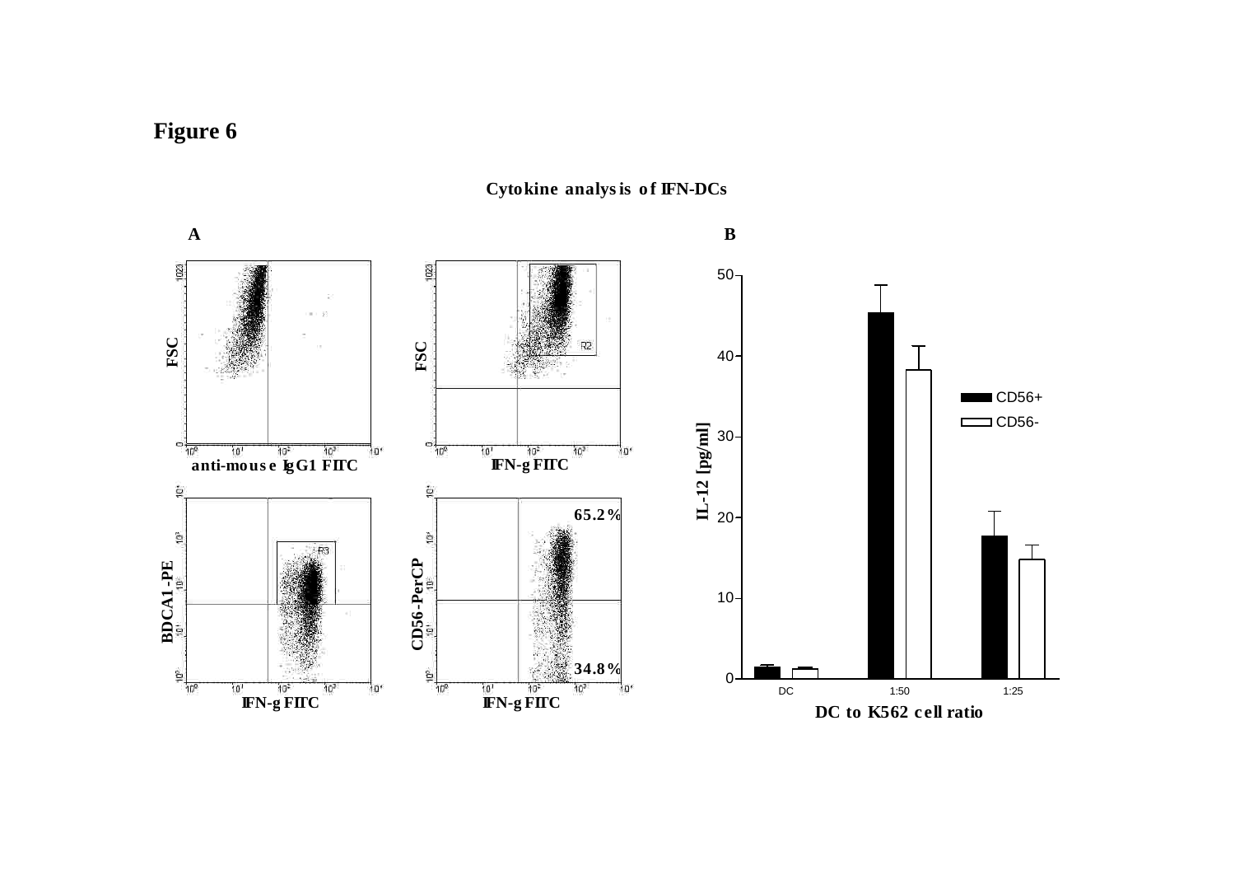# **Figure 6**

**A B** 182  $50 -15$ **FSC FSC**  $\bar{1}$  $40 -$ **CD56+**  $\Box$ CD56-**IL-12 [pg/ml]** 30  $\frac{10^{8}}{10^{8}}$  **lubber lubber lubbers lubbers lubbers lubbers lubbers lubbers lubbers lubbers lubbers lubbers lubbers lubbers lubbers lubbers lubbers lubbers lubbers lubbers lubbe**  $=$   $\frac{10^{6}}{10^{6}}$ "וּםי  $10^{1}$  $10^3$  $10*$ **IFN-g FITC**  $\hat{\mathbf{e}}$ ò **65.2%** 20  $\stackrel{\scriptscriptstyle\shortparallel}{\scriptscriptstyle \ominus}$ **BDCA1 -PE CD56-PerCP**  $10 -$ **34.8%**  $rac{6}{10^6}$  $\Omega$  $\frac{10!}{10^2}$  **IFN-g FITC** DC 1:50 1:25  $10<sup>1</sup>$ 10'  $10^{3}$  $111$ **IFN-g FITC IFN-g DC to K562 c ell ratio**

**Cytokine analysis o f IFN-DCs**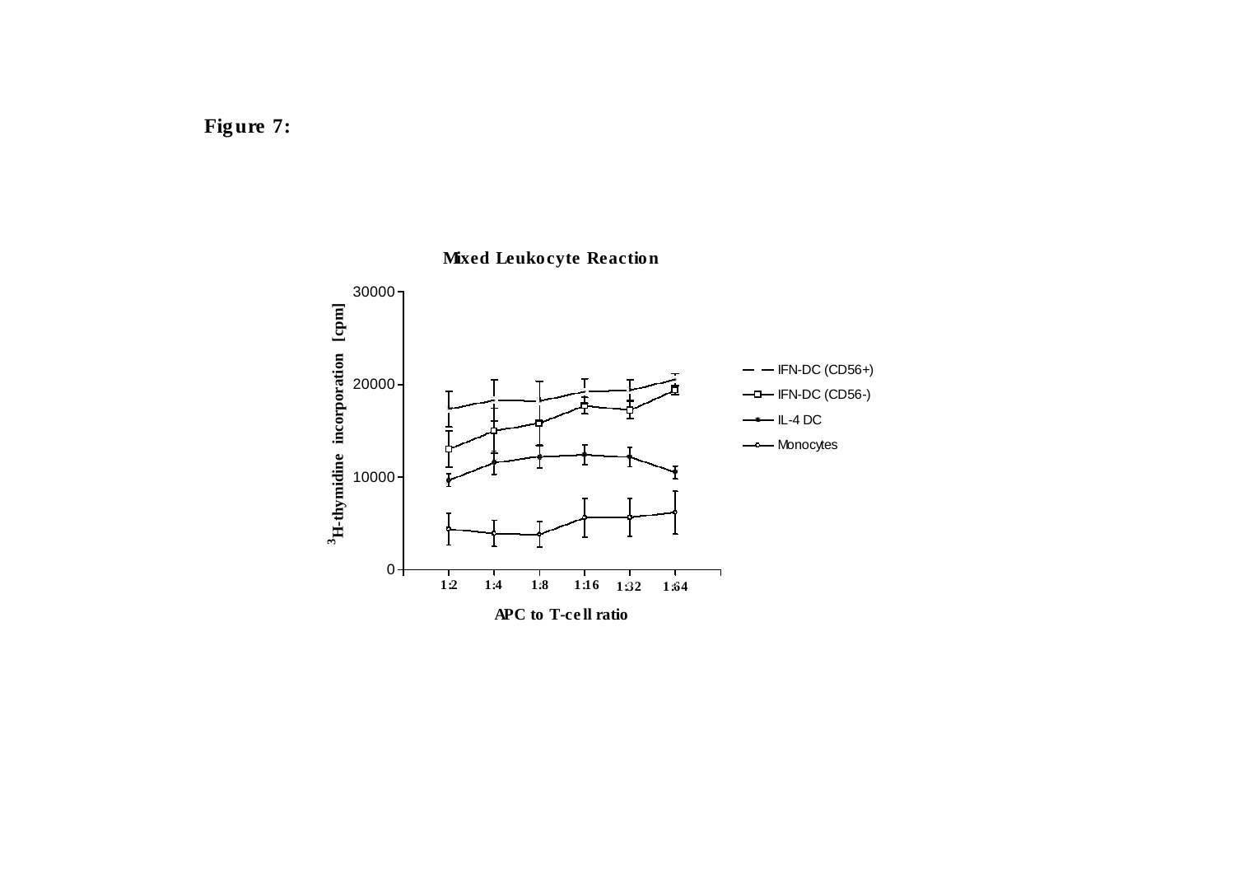

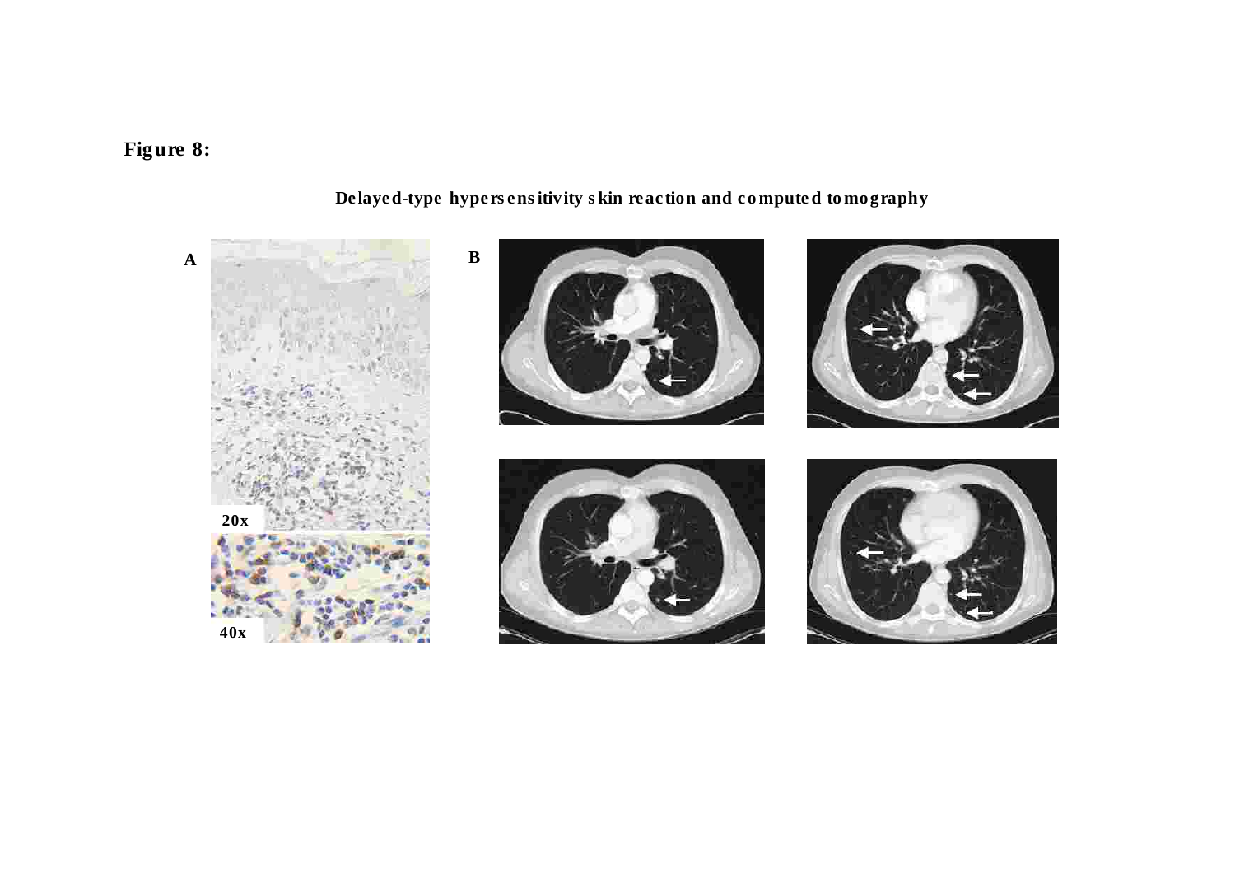# Figure 8:



## Delayed-type hypersensitivity skin reaction and computed tomography

 $\mathbf{B}$